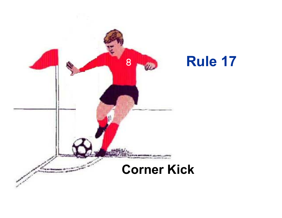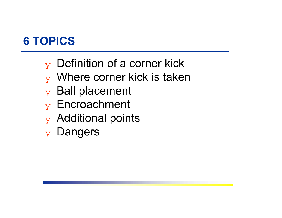# **6 TOPICS**

- $\mathbf y$  Definition of a corner kick
- $\mathbf y$  Where corner kick is taken
- $\mathbf y$  Ball placement
- ❖ Encroachment
- $\mathbf y$  Additional points
- ❖ Dangers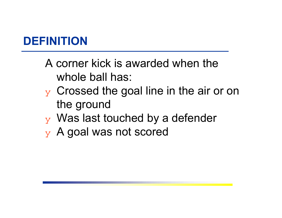# **DEFINITION**

- A corner kick is awarded when the whole ball has:
- $\mathbf y$  Crossed the goal line in the air or on the ground
- $\mathbf y$  Was last touched by a defender
- $\mathbf y$  A goal was not scored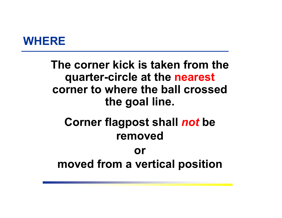

# **The corner kick is taken from the quarter-circle at the nearest corner to where the ball crossed the goal line.**

# **Corner flagpost shall** *not* **be removed**

# **ormoved from a vertical position**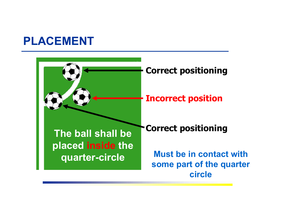### **PLACEMENT**

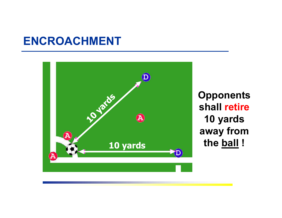### **ENCROACHMENT**



**Opponents shall retire 10 yards away from**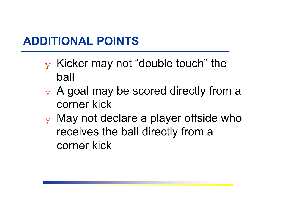# **ADDITIONAL POINTS**

- $\mathbf y$  Kicker may not "double touch" the ball
- $\mathbf y$  A goal may be scored directly from a corner kick
- $\mathbf y$  May not declare a player offside who receives the ball directly from a corner kick